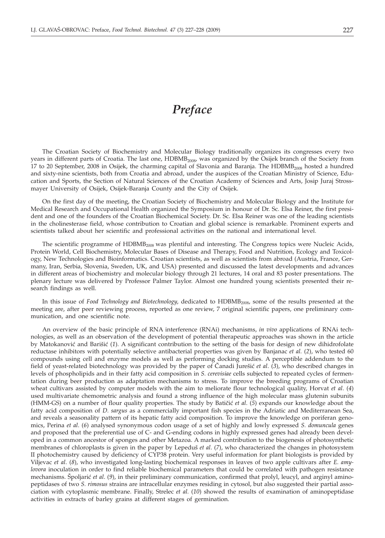## *Preface*

The Croatian Society of Biochemistry and Molecular Biology traditionally organizes its congresses every two years in different parts of Croatia. The last one, HDBMB<sub>2008</sub>, was organized by the Osijek branch of the Society from 17 to 20 September, 2008 in Osijek, the charming capital of Slavonia and Baranja. The  $HDBMB<sub>2008</sub>$  hosted a hundred and sixty-nine scientists, both from Croatia and abroad, under the auspices of the Croatian Ministry of Science, Education and Sports, the Section of Natural Sciences of the Croatian Academy of Sciences and Arts, Josip Juraj Strossmayer University of Osijek, Osijek-Baranja County and the City of Osijek.

On the first day of the meeting, the Croatian Society of Biochemistry and Molecular Biology and the Institute for Medical Research and Occupational Health organized the Symposium in honour of Dr. Sc. Elsa Reiner, the first president and one of the founders of the Croatian Biochemical Society. Dr. Sc. Elsa Reiner was one of the leading scientists in the cholinesterase field, whose contribution to Croatian and global science is remarkable. Prominent experts and scientists talked about her scientific and professional activities on the national and international level.

The scientific programme of HDBMB<sub>2008</sub> was plentiful and interesting. The Congress topics were Nucleic Acids, Protein World, Cell Biochemistry, Molecular Bases of Disease and Therapy, Food and Nutrition, Ecology and Toxicology, New Technologies and Bioinformatics. Croatian scientists, as well as scientists from abroad (Austria, France, Germany, Iran, Serbia, Slovenia, Sweden, UK, and USA) presented and discussed the latest developments and advances in different areas of biochemistry and molecular biology through 21 lectures, 14 oral and 83 poster presentations. The plenary lecture was delivered by Professor Palmer Taylor. Almost one hundred young scientists presented their research findings as well.

In this issue of *Food Technology and Biotechnology*, dedicated to HDBMB2008, some of the results presented at the meeting are, after peer reviewing process, reported as one review, 7 original scientific papers, one preliminary communication, and one scientific note.

An overview of the basic principle of RNA interference (RNAi) mechanisms, *in vivo* applications of RNAi technologies, as well as an observation of the development of potential therapeutic approaches was shown in the article by Matokanović and Barišić (1). A significant contribution to the setting of the basis for design of new dihidrofolate reductase inhibitors with potentially selective antibacterial properties was given by Banjanac *et al.* (*2*), who tested 60 compounds using cell and enzyme models as well as performing docking studies. A perceptible addendum to the field of yeast-related biotechnology was provided by the paper of Canadi Jurešić *et al.* (3), who described changes in levels of phospholipids and in their fatty acid composition in *S. cerevisiae* cells subjected to repeated cycles of fermentation during beer production as adaptation mechanisms to stress. To improve the breeding programs of Croatian wheat cultivars assisted by computer models with the aim to meliorate flour technological quality, Horvat *et al*. (*4*) used multivariate chemometric analysis and found a strong influence of the high molecular mass glutenin subunits (HMM-GS) on a number of flour quality properties. The study by Batičić et al. (5) expands our knowledge about the fatty acid composition of *D. sargus* as a commercially important fish species in the Adriatic and Mediterranean Sea, and reveals a seasonality pattern of its hepatic fatty acid composition. To improve the knowledge on poriferan genomics, Perina *et al*. (*6*) analysed synonymous codon usage of a set of highly and lowly expressed *S. domuncula* genes and proposed that the preferential use of C- and G-ending codons in highly expressed genes had already been developed in a common ancestor of sponges and other Metazoa. A marked contribution to the biogenesis of photosynthetic membranes of chloroplasts is given in the paper by Lepeduš *et al.* (7), who characterized the changes in photosystem II photochemistry caused by deficiency of CYP38 protein. Very useful information for plant biologists is provided by Viljevac *et al*. (*8*), who investigated long-lasting biochemical responses in leaves of two apple cultivars after *E. amylovora* inoculation in order to find reliable biochemical parameters that could be correlated with pathogen resistance mechanisms. Spoljarić et al. (9), in their preliminary communication, confirmed that prolyl, leucyl, and arginyl aminopeptidases of two *S. rimosus* strains are intracellular enzymes residing in cytosol, but also suggested their partial association with cytoplasmic membrane. Finally, Strelec *et al.* (*10*) showed the results of examination of aminopeptidase activities in extracts of barley grains at different stages of germination.